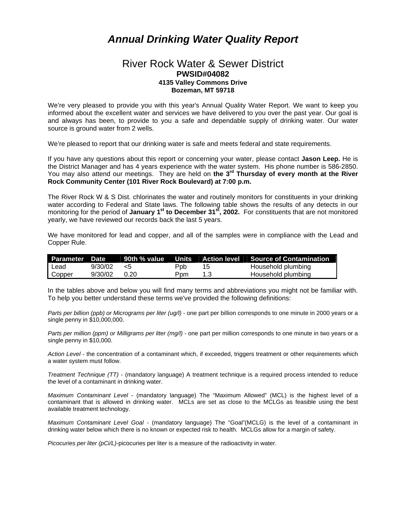## *Annual Drinking Water Quality Report*

## River Rock Water & Sewer District **PWSID#04082 4135 Valley Commons Drive Bozeman, MT 59718**

We're very pleased to provide you with this year's Annual Quality Water Report. We want to keep you informed about the excellent water and services we have delivered to you over the past year. Our goal is and always has been, to provide to you a safe and dependable supply of drinking water. Our water source is ground water from 2 wells.

We're pleased to report that our drinking water is safe and meets federal and state requirements.

If you have any questions about this report or concerning your water, please contact **Jason Leep.** He is the District Manager and has 4 years experience with the water system. His phone number is 586-2850. You may also attend our meetings. They are held on the 3<sup>rd</sup> Thursday of every month at the River **Rock Community Center (101 River Rock Boulevard) at 7:00 p.m.**

The River Rock W & S Dist. chlorinates the water and routinely monitors for constituents in your drinking water according to Federal and State laws. The following table shows the results of any detects in our monitoring for the period of **January 1st to December 31st, 2002.** For constituents that are not monitored yearly, we have reviewed our records back the last 5 years.

We have monitored for lead and copper, and all of the samples were in compliance with the Lead and Copper Rule.

|        |         |      |     |     | Parameter Date   90th % value   Units   Action level   Source of Contamination |
|--------|---------|------|-----|-----|--------------------------------------------------------------------------------|
| l Lead | 9/30/02 | _ <: | Ppb | 15  | Household plumbing                                                             |
| Copper | 9/30/02 | 0.20 | Ppm | 1.3 | Household plumbing                                                             |

In the tables above and below you will find many terms and abbreviations you might not be familiar with. To help you better understand these terms we've provided the following definitions:

*Parts per billion (ppb) or Micrograms per liter (ug/l)* - one part per billion corresponds to one minute in 2000 years or a single penny in \$10,000,000.

*Parts per million (ppm) or Milligrams per liter (mg/l)* - one part per million corresponds to one minute in two years or a single penny in \$10,000.

*Action Level* - the concentration of a contaminant which, if exceeded, triggers treatment or other requirements which a water system must follow.

*Treatment Technique (TT)* - (mandatory language) A treatment technique is a required process intended to reduce the level of a contaminant in drinking water.

*Maximum Contaminant Level* - (mandatory language) The "Maximum Allowed" (MCL) is the highest level of a contaminant that is allowed in drinking water. MCLs are set as close to the MCLGs as feasible using the best available treatment technology.

*Maximum Contaminant Level Goal* - (mandatory language) The "Goal"(MCLG) is the level of a contaminant in drinking water below which there is no known or expected risk to health. MCLGs allow for a margin of safety.

*Picocuries per liter (pCi/L)-*picocuries per liter is a measure of the radioactivity in water.